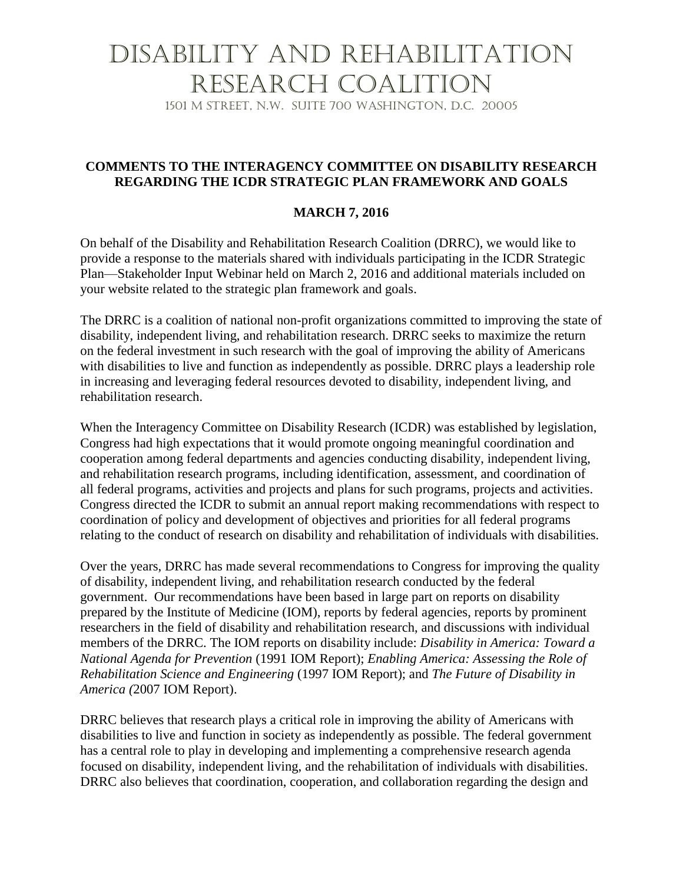## Disability and Rehabilitation Research Coalition

1501 M Street, N.W. Suite 700 Washington, D.C. 20005

## **COMMENTS TO THE INTERAGENCY COMMITTEE ON DISABILITY RESEARCH REGARDING THE ICDR STRATEGIC PLAN FRAMEWORK AND GOALS**

## **MARCH 7, 2016**

On behalf of the Disability and Rehabilitation Research Coalition (DRRC), we would like to provide a response to the materials shared with individuals participating in the ICDR Strategic Plan—Stakeholder Input Webinar held on March 2, 2016 and additional materials included on your website related to the strategic plan framework and goals.

The DRRC is a coalition of national non-profit organizations committed to improving the state of disability, independent living, and rehabilitation research. DRRC seeks to maximize the return on the federal investment in such research with the goal of improving the ability of Americans with disabilities to live and function as independently as possible. DRRC plays a leadership role in increasing and leveraging federal resources devoted to disability, independent living, and rehabilitation research.

When the Interagency Committee on Disability Research (ICDR) was established by legislation, Congress had high expectations that it would promote ongoing meaningful coordination and cooperation among federal departments and agencies conducting disability, independent living, and rehabilitation research programs, including identification, assessment, and coordination of all federal programs, activities and projects and plans for such programs, projects and activities. Congress directed the ICDR to submit an annual report making recommendations with respect to coordination of policy and development of objectives and priorities for all federal programs relating to the conduct of research on disability and rehabilitation of individuals with disabilities.

Over the years, DRRC has made several recommendations to Congress for improving the quality of disability, independent living, and rehabilitation research conducted by the federal government. Our recommendations have been based in large part on reports on disability prepared by the Institute of Medicine (IOM), reports by federal agencies, reports by prominent researchers in the field of disability and rehabilitation research, and discussions with individual members of the DRRC. The IOM reports on disability include: *Disability in America: Toward a National Agenda for Prevention* (1991 IOM Report); *Enabling America: Assessing the Role of Rehabilitation Science and Engineering* (1997 IOM Report); and *The Future of Disability in America (*2007 IOM Report).

DRRC believes that research plays a critical role in improving the ability of Americans with disabilities to live and function in society as independently as possible. The federal government has a central role to play in developing and implementing a comprehensive research agenda focused on disability, independent living, and the rehabilitation of individuals with disabilities. DRRC also believes that coordination, cooperation, and collaboration regarding the design and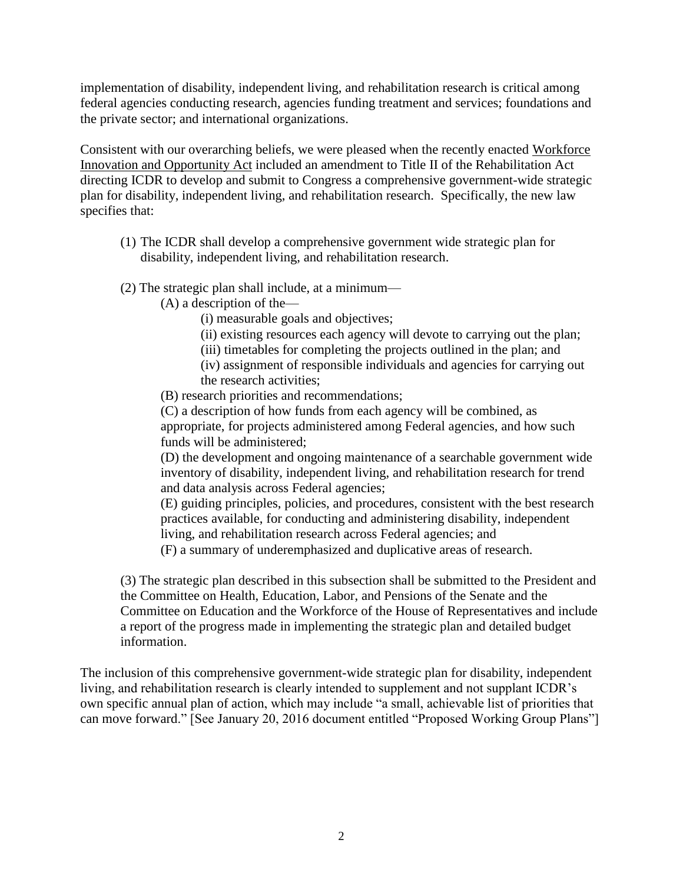implementation of disability, independent living, and rehabilitation research is critical among federal agencies conducting research, agencies funding treatment and services; foundations and the private sector; and international organizations.

Consistent with our overarching beliefs, we were pleased when the recently enacted Workforce Innovation and Opportunity Act included an amendment to Title II of the Rehabilitation Act directing ICDR to develop and submit to Congress a comprehensive government-wide strategic plan for disability, independent living, and rehabilitation research. Specifically, the new law specifies that:

- (1) The ICDR shall develop a comprehensive government wide strategic plan for disability, independent living, and rehabilitation research.
- (2) The strategic plan shall include, at a minimum—

(A) a description of the—

- (i) measurable goals and objectives;
- (ii) existing resources each agency will devote to carrying out the plan;
- (iii) timetables for completing the projects outlined in the plan; and
- (iv) assignment of responsible individuals and agencies for carrying out the research activities;

(B) research priorities and recommendations;

(C) a description of how funds from each agency will be combined, as appropriate, for projects administered among Federal agencies, and how such funds will be administered;

(D) the development and ongoing maintenance of a searchable government wide inventory of disability, independent living, and rehabilitation research for trend and data analysis across Federal agencies;

(E) guiding principles, policies, and procedures, consistent with the best research practices available, for conducting and administering disability, independent living, and rehabilitation research across Federal agencies; and

(F) a summary of underemphasized and duplicative areas of research.

(3) The strategic plan described in this subsection shall be submitted to the President and the Committee on Health, Education, Labor, and Pensions of the Senate and the Committee on Education and the Workforce of the House of Representatives and include a report of the progress made in implementing the strategic plan and detailed budget information.

The inclusion of this comprehensive government-wide strategic plan for disability, independent living, and rehabilitation research is clearly intended to supplement and not supplant ICDR's own specific annual plan of action, which may include "a small, achievable list of priorities that can move forward." [See January 20, 2016 document entitled "Proposed Working Group Plans"]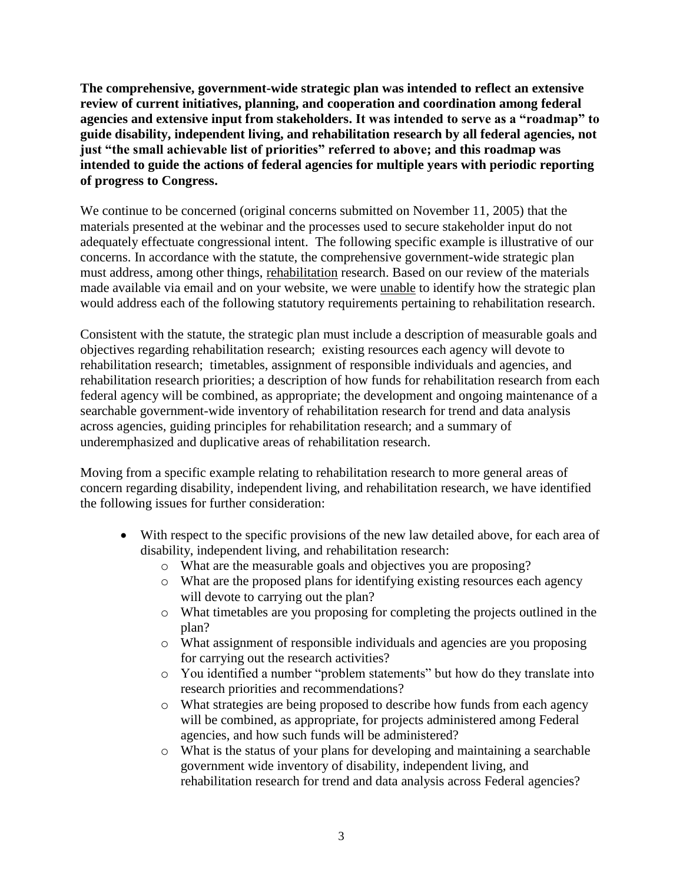**The comprehensive, government-wide strategic plan was intended to reflect an extensive review of current initiatives, planning, and cooperation and coordination among federal agencies and extensive input from stakeholders. It was intended to serve as a "roadmap" to guide disability, independent living, and rehabilitation research by all federal agencies, not just "the small achievable list of priorities" referred to above; and this roadmap was intended to guide the actions of federal agencies for multiple years with periodic reporting of progress to Congress.** 

We continue to be concerned (original concerns submitted on November 11, 2005) that the materials presented at the webinar and the processes used to secure stakeholder input do not adequately effectuate congressional intent. The following specific example is illustrative of our concerns. In accordance with the statute, the comprehensive government-wide strategic plan must address, among other things, rehabilitation research. Based on our review of the materials made available via email and on your website, we were unable to identify how the strategic plan would address each of the following statutory requirements pertaining to rehabilitation research.

Consistent with the statute, the strategic plan must include a description of measurable goals and objectives regarding rehabilitation research; existing resources each agency will devote to rehabilitation research; timetables, assignment of responsible individuals and agencies, and rehabilitation research priorities; a description of how funds for rehabilitation research from each federal agency will be combined, as appropriate; the development and ongoing maintenance of a searchable government-wide inventory of rehabilitation research for trend and data analysis across agencies, guiding principles for rehabilitation research; and a summary of underemphasized and duplicative areas of rehabilitation research.

Moving from a specific example relating to rehabilitation research to more general areas of concern regarding disability, independent living, and rehabilitation research, we have identified the following issues for further consideration:

- With respect to the specific provisions of the new law detailed above, for each area of disability, independent living, and rehabilitation research:
	- o What are the measurable goals and objectives you are proposing?
	- o What are the proposed plans for identifying existing resources each agency will devote to carrying out the plan?
	- o What timetables are you proposing for completing the projects outlined in the plan?
	- o What assignment of responsible individuals and agencies are you proposing for carrying out the research activities?
	- o You identified a number "problem statements" but how do they translate into research priorities and recommendations?
	- o What strategies are being proposed to describe how funds from each agency will be combined, as appropriate, for projects administered among Federal agencies, and how such funds will be administered?
	- o What is the status of your plans for developing and maintaining a searchable government wide inventory of disability, independent living, and rehabilitation research for trend and data analysis across Federal agencies?